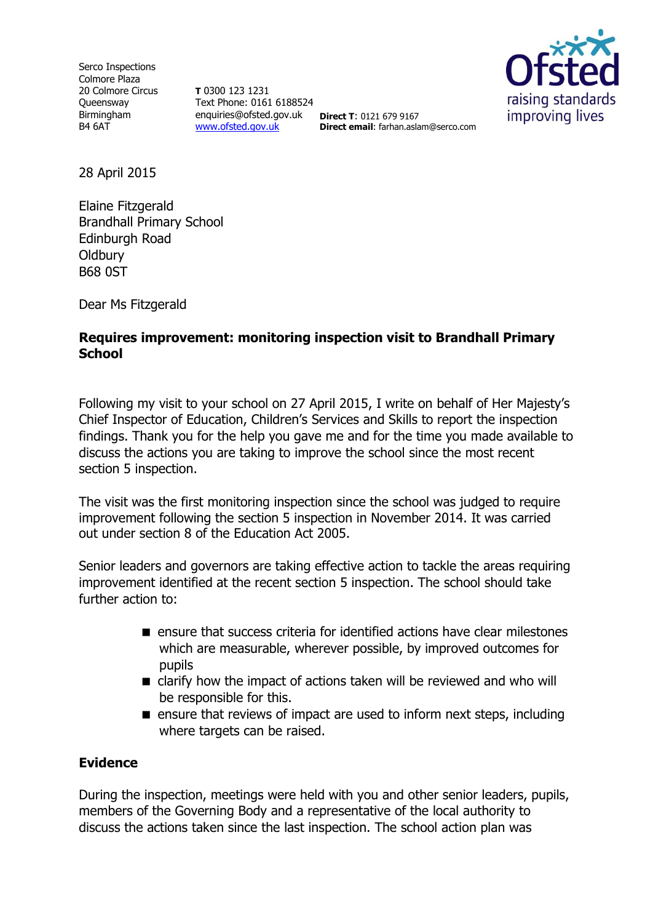Serco Inspections Colmore Plaza 20 Colmore Circus **Oueensway** Birmingham B4 6AT

**T** 0300 123 1231 Text Phone: 0161 6188524 enquiries@ofsted.gov.uk **Direct T**: 0121 679 9167 [www.ofsted.gov.uk](http://www.ofsted.gov.uk/)



**Direct email**: farhan.aslam@serco.com

28 April 2015

Elaine Fitzgerald Brandhall Primary School Edinburgh Road **Oldbury** B68 0ST

Dear Ms Fitzgerald

## **Requires improvement: monitoring inspection visit to Brandhall Primary School**

Following my visit to your school on 27 April 2015, I write on behalf of Her Majesty's Chief Inspector of Education, Children's Services and Skills to report the inspection findings. Thank you for the help you gave me and for the time you made available to discuss the actions you are taking to improve the school since the most recent section 5 inspection.

The visit was the first monitoring inspection since the school was judged to require improvement following the section 5 inspection in November 2014. It was carried out under section 8 of the Education Act 2005.

Senior leaders and governors are taking effective action to tackle the areas requiring improvement identified at the recent section 5 inspection. The school should take further action to:

- **E** ensure that success criteria for identified actions have clear milestones which are measurable, wherever possible, by improved outcomes for pupils
- clarify how the impact of actions taken will be reviewed and who will be responsible for this.
- $\blacksquare$  ensure that reviews of impact are used to inform next steps, including where targets can be raised.

# **Evidence**

During the inspection, meetings were held with you and other senior leaders, pupils, members of the Governing Body and a representative of the local authority to discuss the actions taken since the last inspection. The school action plan was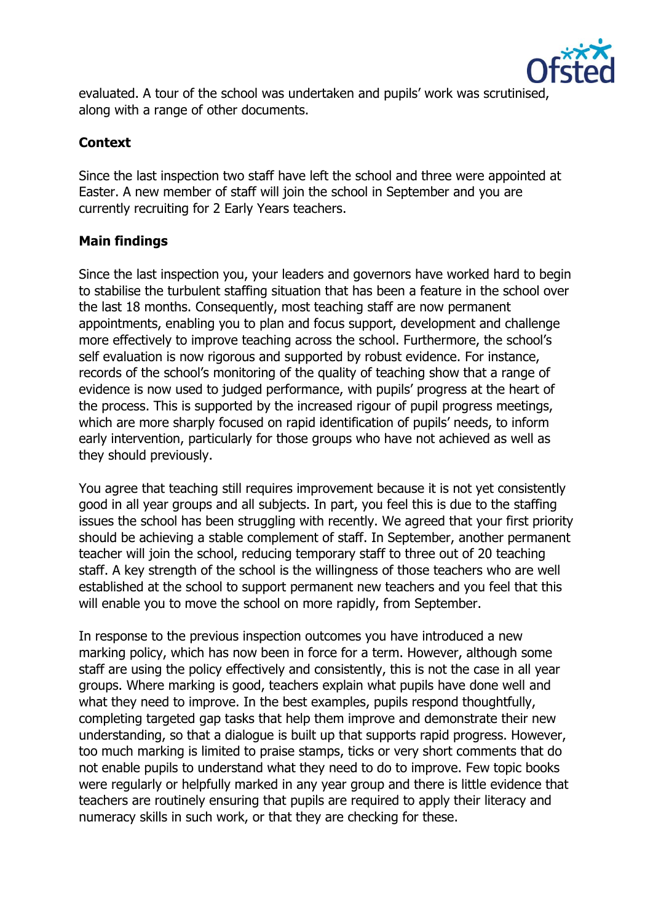

evaluated. A tour of the school was undertaken and pupils' work was scrutinised, along with a range of other documents.

## **Context**

Since the last inspection two staff have left the school and three were appointed at Easter. A new member of staff will join the school in September and you are currently recruiting for 2 Early Years teachers.

### **Main findings**

Since the last inspection you, your leaders and governors have worked hard to begin to stabilise the turbulent staffing situation that has been a feature in the school over the last 18 months. Consequently, most teaching staff are now permanent appointments, enabling you to plan and focus support, development and challenge more effectively to improve teaching across the school. Furthermore, the school's self evaluation is now rigorous and supported by robust evidence. For instance, records of the school's monitoring of the quality of teaching show that a range of evidence is now used to judged performance, with pupils' progress at the heart of the process. This is supported by the increased rigour of pupil progress meetings, which are more sharply focused on rapid identification of pupils' needs, to inform early intervention, particularly for those groups who have not achieved as well as they should previously.

You agree that teaching still requires improvement because it is not yet consistently good in all year groups and all subjects. In part, you feel this is due to the staffing issues the school has been struggling with recently. We agreed that your first priority should be achieving a stable complement of staff. In September, another permanent teacher will join the school, reducing temporary staff to three out of 20 teaching staff. A key strength of the school is the willingness of those teachers who are well established at the school to support permanent new teachers and you feel that this will enable you to move the school on more rapidly, from September.

In response to the previous inspection outcomes you have introduced a new marking policy, which has now been in force for a term. However, although some staff are using the policy effectively and consistently, this is not the case in all year groups. Where marking is good, teachers explain what pupils have done well and what they need to improve. In the best examples, pupils respond thoughtfully, completing targeted gap tasks that help them improve and demonstrate their new understanding, so that a dialogue is built up that supports rapid progress. However, too much marking is limited to praise stamps, ticks or very short comments that do not enable pupils to understand what they need to do to improve. Few topic books were regularly or helpfully marked in any year group and there is little evidence that teachers are routinely ensuring that pupils are required to apply their literacy and numeracy skills in such work, or that they are checking for these.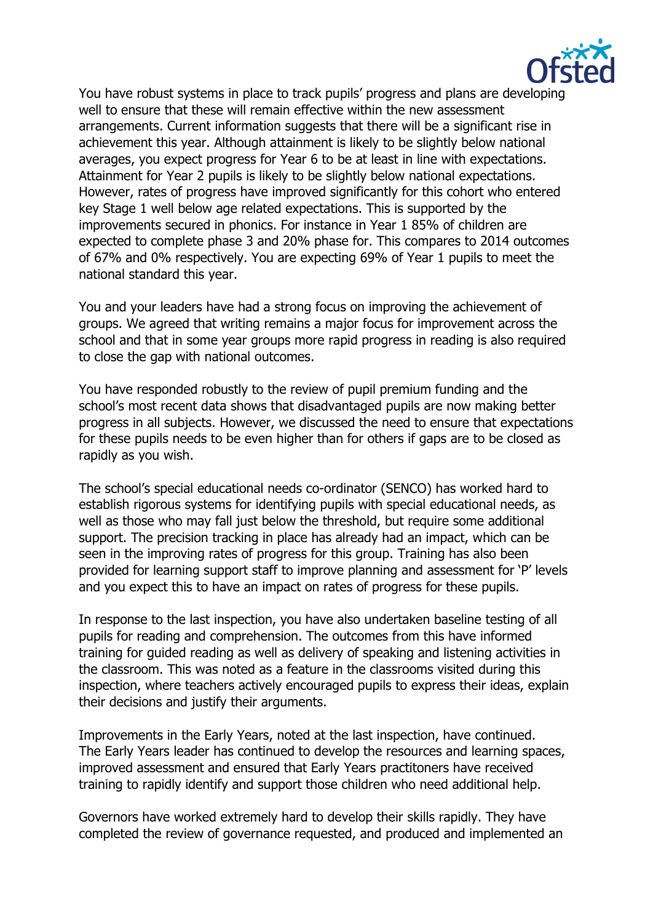

You have robust systems in place to track pupils' progress and plans are developing well to ensure that these will remain effective within the new assessment arrangements. Current information suggests that there will be a significant rise in achievement this year. Although attainment is likely to be slightly below national averages, you expect progress for Year 6 to be at least in line with expectations. Attainment for Year 2 pupils is likely to be slightly below national expectations. However, rates of progress have improved significantly for this cohort who entered key Stage 1 well below age related expectations. This is supported by the improvements secured in phonics. For instance in Year 1 85% of children are expected to complete phase 3 and 20% phase for. This compares to 2014 outcomes of 67% and 0% respectively. You are expecting 69% of Year 1 pupils to meet the national standard this year.

You and your leaders have had a strong focus on improving the achievement of groups. We agreed that writing remains a major focus for improvement across the school and that in some year groups more rapid progress in reading is also required to close the gap with national outcomes.

You have responded robustly to the review of pupil premium funding and the school's most recent data shows that disadvantaged pupils are now making better progress in all subjects. However, we discussed the need to ensure that expectations for these pupils needs to be even higher than for others if gaps are to be closed as rapidly as you wish.

The school's special educational needs co-ordinator (SENCO) has worked hard to establish rigorous systems for identifying pupils with special educational needs, as well as those who may fall just below the threshold, but require some additional support. The precision tracking in place has already had an impact, which can be seen in the improving rates of progress for this group. Training has also been provided for learning support staff to improve planning and assessment for 'P' levels and you expect this to have an impact on rates of progress for these pupils.

In response to the last inspection, you have also undertaken baseline testing of all pupils for reading and comprehension. The outcomes from this have informed training for guided reading as well as delivery of speaking and listening activities in the classroom. This was noted as a feature in the classrooms visited during this inspection, where teachers actively encouraged pupils to express their ideas, explain their decisions and justify their arguments.

Improvements in the Early Years, noted at the last inspection, have continued. The Early Years leader has continued to develop the resources and learning spaces, improved assessment and ensured that Early Years practitoners have received training to rapidly identify and support those children who need additional help.

Governors have worked extremely hard to develop their skills rapidly. They have completed the review of governance requested, and produced and implemented an